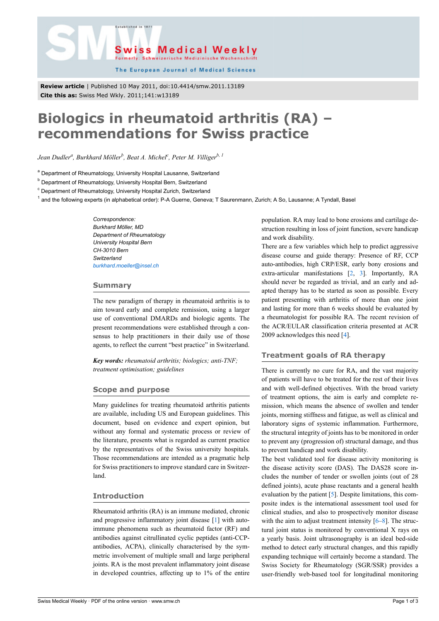



The European Journal of Medical Sciences

**Review article** | Published 10 May 2011, doi:10.4414/smw.2011.13189 **Cite this as:** Swiss Med Wkly. 2011;141:w13189

# **Biologics in rheumatoid arthritis (RA) – recommendations for Swiss practice**

*Jean Dudler<sup>a</sup> , Burkhard Möller<sup>b</sup> , Beat A. Michel<sup>c</sup> , Peter M. Villigerb, 1*

<sup>a</sup> Department of Rheumatology, University Hospital Lausanne, Switzerland

<sup>b</sup> Department of Rheumatology, University Hospital Bern, Switzerland

<sup>c</sup> Department of Rheumatology, University Hospital Zurich, Switzerland

<sup>1</sup> and the following experts (in alphabetical order): P-A Guerne, Geneva; T Saurenmann, Zurich; A So, Lausanne; A Tyndall, Basel

*Correspondence: Burkhard Möller, MD Department of Rheumatology University Hospital Bern CH-3010 Bern Switzerland [burkhard.moeller@insel.ch](mailto:burkhard.moeller@insel.ch)*

### **Summary**

The new paradigm of therapy in rheumatoid arthritis is to aim toward early and complete remission, using a larger use of conventional DMARDs and biologic agents. The present recommendations were established through a consensus to help practitioners in their daily use of those agents, to reflect the current "best practice" in Switzerland.

*Key words: rheumatoid arthritis; biologics; anti-TNF; treatment optimisation; guidelines*

# **Scope and purpose**

Many guidelines for treating rheumatoid arthritis patients are available, including US and European guidelines. This document, based on evidence and expert opinion, but without any formal and systematic process or review of the literature, presents what is regarded as current practice by the representatives of the Swiss university hospitals. Those recommendations are intended as a pragmatic help for Swiss practitioners to improve standard care in Switzerland.

# **Introduction**

Rheumatoid arthritis (RA) is an immune mediated, chronic and progressive inflammatory joint disease [\[1\]](#page-2-0) with autoimmune phenomena such as rheumatoid factor (RF) and antibodies against citrullinated cyclic peptides (anti-CCPantibodies, ACPA), clinically characterised by the symmetric involvement of multiple small and large peripheral joints. RA is the most prevalent inflammatory joint disease in developed countries, affecting up to 1% of the entire population. RA may lead to bone erosions and cartilage destruction resulting in loss of joint function, severe handicap and work disability.

There are a few variables which help to predict aggressive disease course and guide therapy: Presence of RF, CCP auto-antibodies, high CRP/ESR, early bony erosions and extra-articular manifestations [\[2,](#page-2-1) [3\]](#page-2-2). Importantly, RA should never be regarded as trivial, and an early and adapted therapy has to be started as soon as possible. Every patient presenting with arthritis of more than one joint and lasting for more than 6 weeks should be evaluated by a rheumatologist for possible RA. The recent revision of the ACR/EULAR classification criteria presented at ACR 2009 acknowledges this need [[4](#page-2-3)].

# **Treatment goals of RA therapy**

There is currently no cure for RA, and the vast majority of patients will have to be treated for the rest of their lives and with well-defined objectives. With the broad variety of treatment options, the aim is early and complete remission, which means the absence of swollen and tender joints, morning stiffness and fatigue, as well as clinical and laboratory signs of systemic inflammation. Furthermore, the structural integrity of joints has to be monitored in order to prevent any (progression of) structural damage, and thus to prevent handicap and work disability.

The best validated tool for disease activity monitoring is the disease activity score (DAS). The DAS28 score includes the number of tender or swollen joints (out of 28 defined joints), acute phase reactants and a general health evaluation by the patient [\[5\]](#page-2-4). Despite limitations, this composite index is the international assessment tool used for clinical studies, and also to prospectively monitor disease with the aim to adjust treatment intensity [[6](#page-2-5)–[8](#page-2-6)]. The structural joint status is monitored by conventional X rays on a yearly basis. Joint ultrasonography is an ideal bed-side method to detect early structural changes, and this rapidly expanding technique will certainly become a standard. The Swiss Society for Rheumatology (SGR/SSR) provides a user-friendly web-based tool for longitudinal monitoring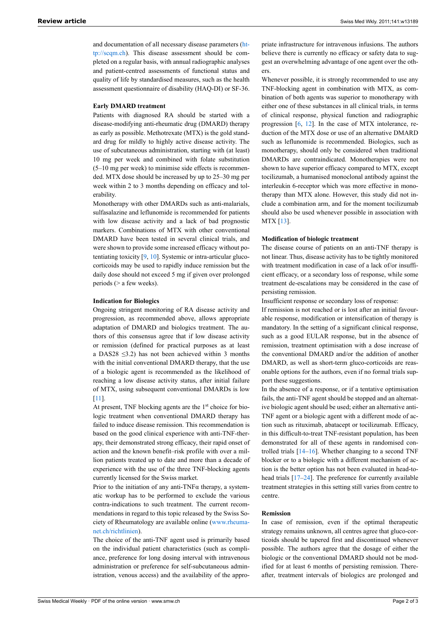and documentation of all necessary disease parameters [\(ht](http://scqm.ch)[tp://scqm.ch](http://scqm.ch)). This disease assessment should be completed on a regular basis, with annual radiographic analyses and patient-centred assessments of functional status and quality of life by standardised measures, such as the health assessment questionnaire of disability (HAQ-DI) or SF-36.

#### **Early DMARD treatment**

Patients with diagnosed RA should be started with a disease-modifying anti-rheumatic drug (DMARD) therapy as early as possible. Methotrexate (MTX) is the gold standard drug for mildly to highly active disease activity. The use of subcutaneous administration, starting with (at least) 10 mg per week and combined with folate substitution (5–10 mg per week) to minimise side effects is recommended. MTX dose should be increased by up to 25–30 mg per week within 2 to 3 months depending on efficacy and tolerability.

Monotherapy with other DMARDs such as anti-malarials, sulfasalazine and leflunomide is recommended for patients with low disease activity and a lack of bad prognostic markers. Combinations of MTX with other conventional DMARD have been tested in several clinical trials, and were shown to provide some increased efficacy without potentiating toxicity [\[9,](#page-2-7) [10](#page-2-8)]. Systemic or intra-articular glucocorticoids may be used to rapidly induce remission but the daily dose should not exceed 5 mg if given over prolonged periods (> a few weeks).

#### **Indication for Biologics**

Ongoing stringent monitoring of RA disease activity and progression, as recommended above, allows appropriate adaptation of DMARD and biologics treatment. The authors of this consensus agree that if low disease activity or remission (defined for practical purposes as at least a DAS28  $\leq$ 3.2) has not been achieved within 3 months with the initial conventional DMARD therapy, that the use of a biologic agent is recommended as the likelihood of reaching a low disease activity status, after initial failure of MTX, using subsequent conventional DMARDs is low [\[11\]](#page-2-9).

At present, TNF blocking agents are the  $1<sup>st</sup>$  choice for biologic treatment when conventional DMARD therapy has failed to induce disease remission. This recommendation is based on the good clinical experience with anti-TNF-therapy, their demonstrated strong efficacy, their rapid onset of action and the known benefit–risk profile with over a million patients treated up to date and more than a decade of experience with the use of the three TNF-blocking agents currently licensed for the Swiss market.

Prior to the initiation of any anti-TNF $\alpha$  therapy, a systematic workup has to be performed to exclude the various contra-indications to such treatment. The current recommendations in regard to this topic released by the Swiss Society of Rheumatology are available online [\(www.rheuma](http://www.rheuma-net.ch/richtlinien)[net.ch/richtlinien](http://www.rheuma-net.ch/richtlinien)).

The choice of the anti-TNF agent used is primarily based on the individual patient characteristics (such as compliance, preference for long dosing interval with intravenous administration or preference for self-subcutaneous administration, venous access) and the availability of the appro-

priate infrastructure for intravenous infusions. The authors believe there is currently no efficacy or safety data to suggest an overwhelming advantage of one agent over the others.

Whenever possible, it is strongly recommended to use any TNF-blocking agent in combination with MTX, as combination of both agents was superior to monotherapy with either one of these substances in all clinical trials, in terms of clinical response, physical function and radiographic progression  $[6, 12]$  $[6, 12]$  $[6, 12]$ . In the case of MTX intolerance, reduction of the MTX dose or use of an alternative DMARD such as leflunomide is recommended. Biologics, such as monotherapy, should only be considered when traditional DMARDs are contraindicated. Monotherapies were not shown to have superior efficacy compared to MTX, except tocilizumab, a humanised monoclonal antibody against the interleukin 6-receptor which was more effective in monotherapy than MTX alone. However, this study did not include a combination arm, and for the moment tocilizumab should also be used whenever possible in association with MTX [[13\]](#page-2-11).

#### **Modification of biologic treatment**

The disease course of patients on an anti-TNF therapy is not linear. Thus, disease activity has to be tightly monitored with treatment modification in case of a lack of/or insufficient efficacy, or a secondary loss of response, while some treatment de-escalations may be considered in the case of persisting remission.

Insufficient response or secondary loss of response:

If remission is not reached or is lost after an initial favourable response, modification or intensification of therapy is mandatory. In the setting of a significant clinical response, such as a good EULAR response, but in the absence of remission, treatment optimisation with a dose increase of the conventional DMARD and/or the addition of another DMARD, as well as short-term gluco-corticoids are reasonable options for the authors, even if no formal trials support these suggestions.

In the absence of a response, or if a tentative optimisation fails, the anti-TNF agent should be stopped and an alternative biologic agent should be used; either an alternative anti-TNF agent or a biologic agent with a different mode of action such as rituximab, abatacept or tocilizumab. Efficacy, in this difficult-to-treat TNF-resistant population, has been demonstrated for all of these agents in randomised controlled trials [[14](#page-2-12)[–16](#page-2-13)]. Whether changing to a second TNF blocker or to a biologic with a different mechanism of action is the better option has not been evaluated in head-to-head trials [\[17](#page-2-14)–[24\]](#page-2-15). The preference for currently available treatment strategies in this setting still varies from centre to centre.

# **Remission**

In case of remission, even if the optimal therapeutic strategy remains unknown, all centres agree that gluco-corticoids should be tapered first and discontinued whenever possible. The authors agree that the dosage of either the biologic or the conventional DMARD should not be modified for at least 6 months of persisting remission. Thereafter, treatment intervals of biologics are prolonged and